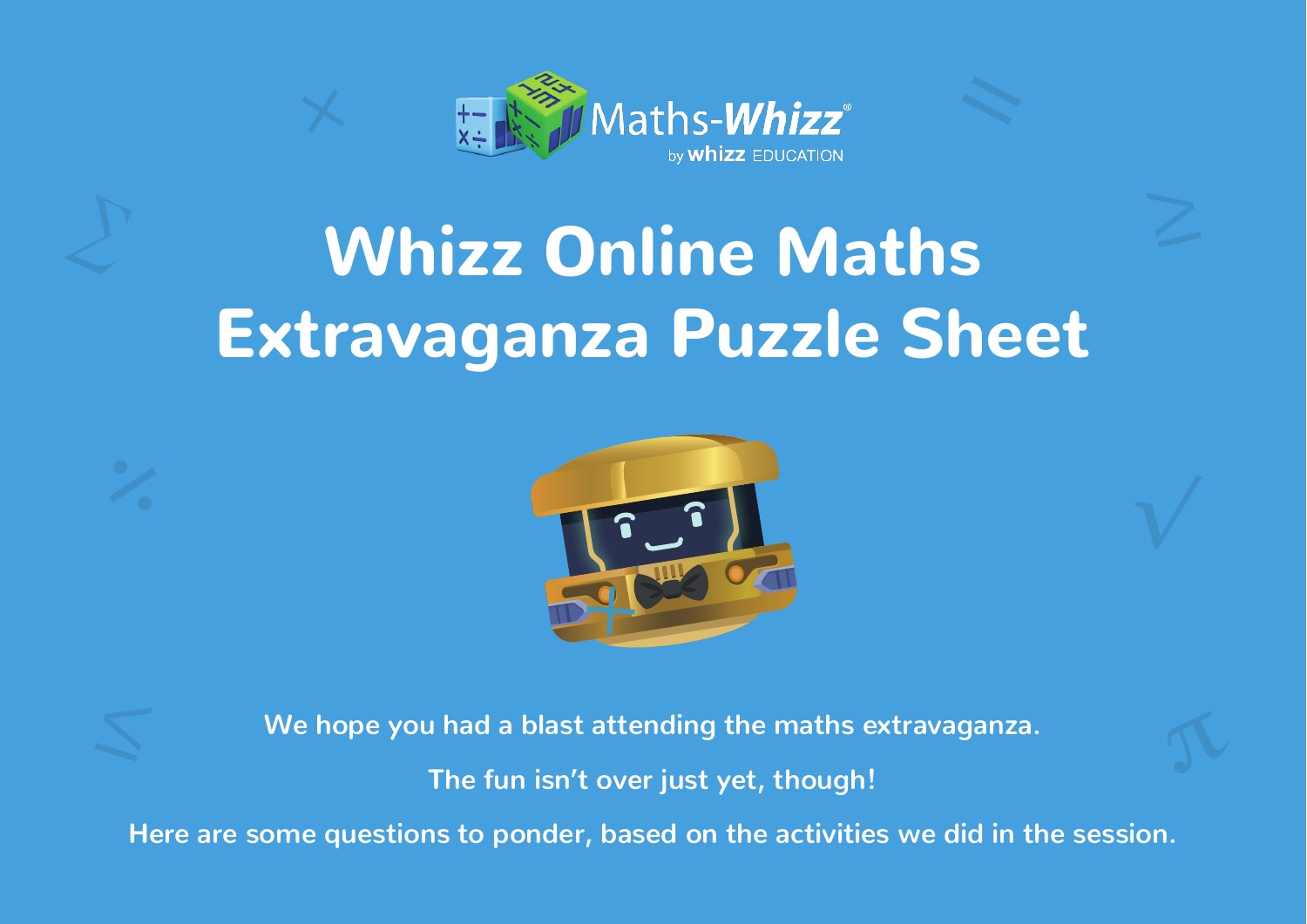

# Whizz Online Maths Extravaganza Puzzle Sheet



**We hope you had a blast attending the maths extravaganza.** 

**The fun isn't over just yet, though!**

**Here are some questions to ponder, based on the activities we did in the session.**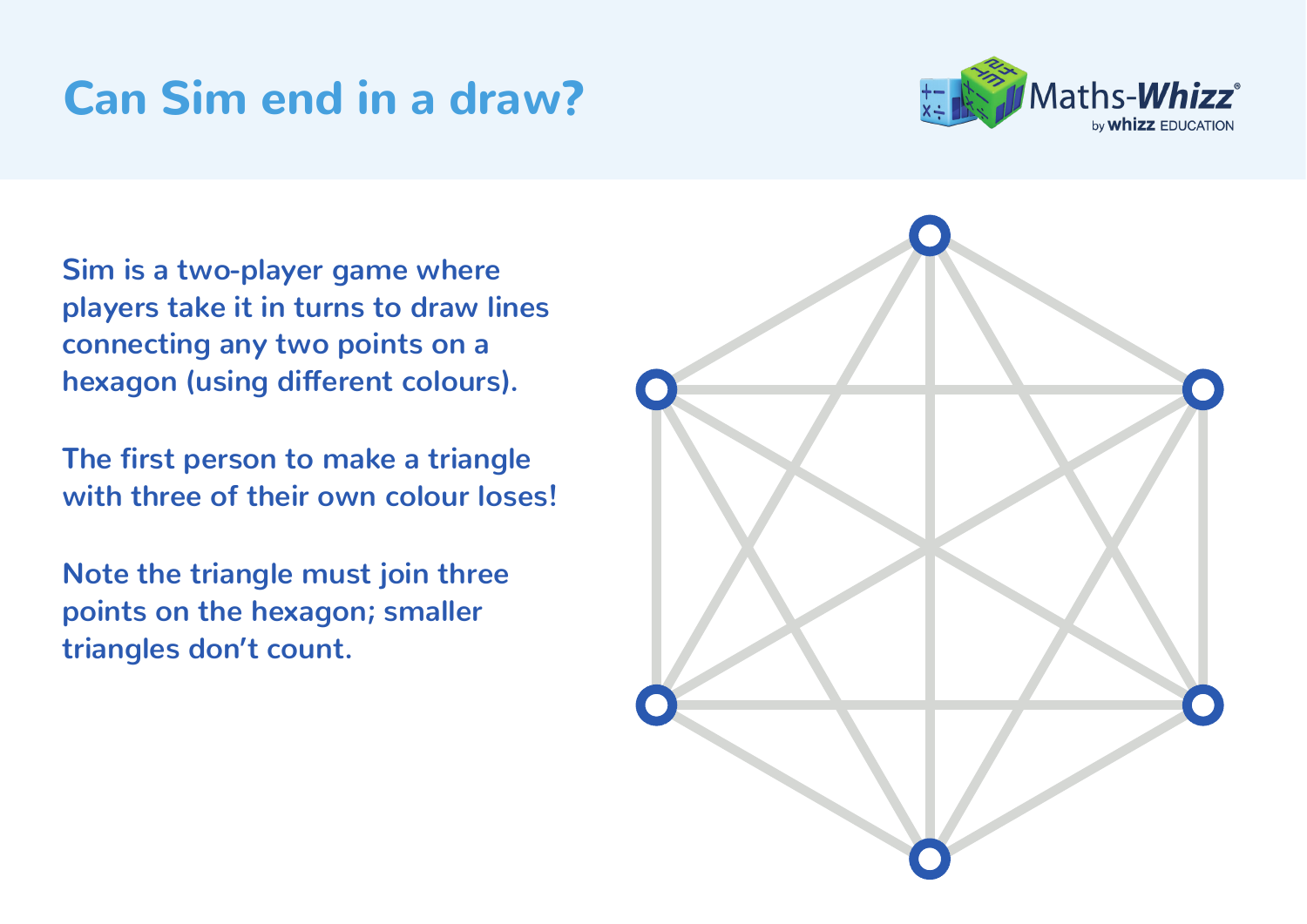### Can Sim end in a draw?



**Sim is a two-player game where players take it in turns to draw lines connecting any two points on a hexagon (using different colours).** 

**The first person to make a triangle with three of their own colour loses!** 

**Note the triangle must join three points on the hexagon; smaller triangles don't count.**

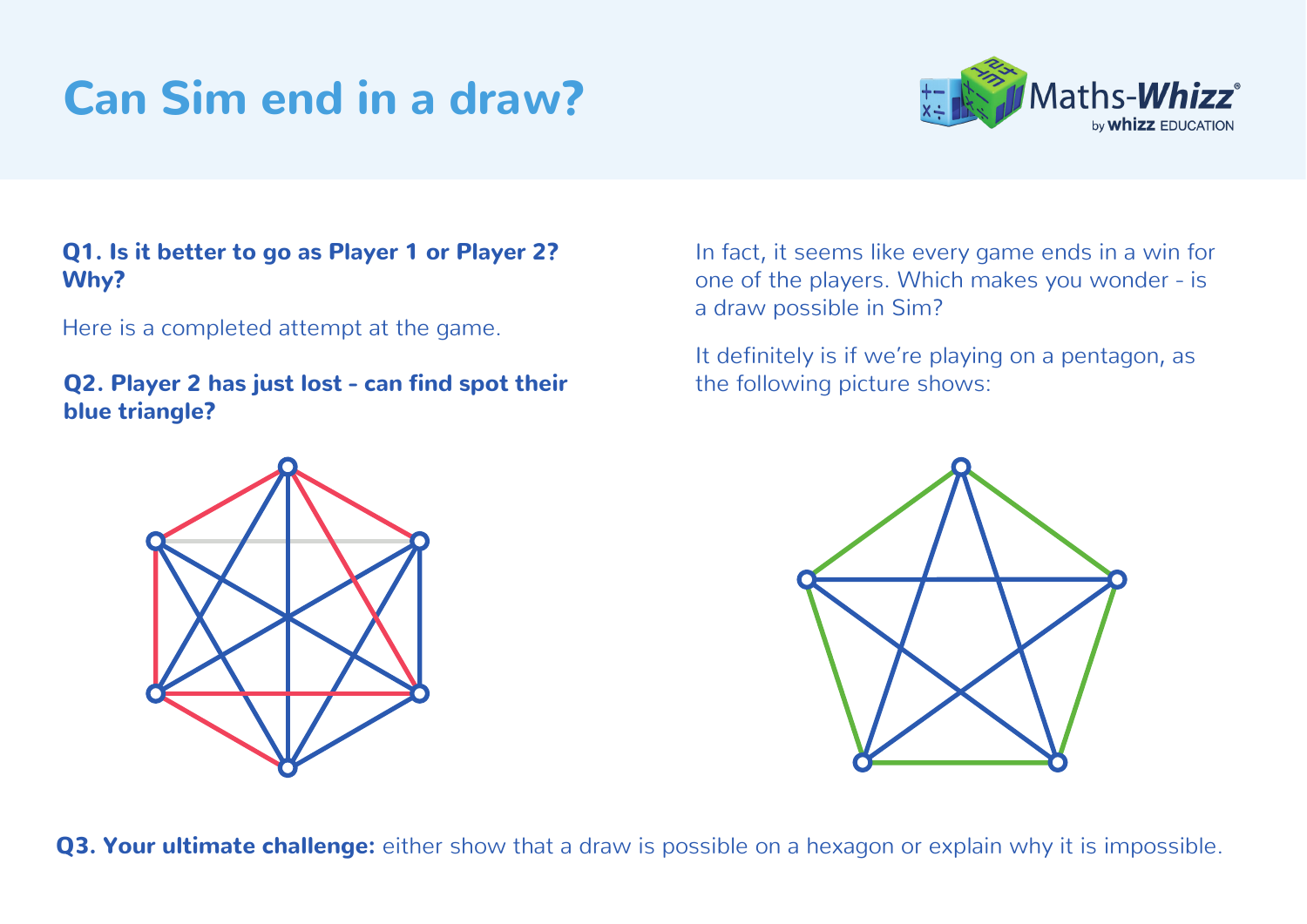# Can Sim end in a draw?



#### Q1. Is it better to go as Player 1 or Player 2? Why?

Here is a completed attempt at the game.

**Q2. Player 2 has just lost - can find spot their** the following picture shows: blue triangle?

In fact, it seems like every game ends in a win for one of the players. Which makes you wonder - is a draw possible in Sim?

It definitely is if we're playing on a pentagon, as



Q3. Your ultimate challenge: either show that a draw is possible on a hexagon or explain why it is impossible.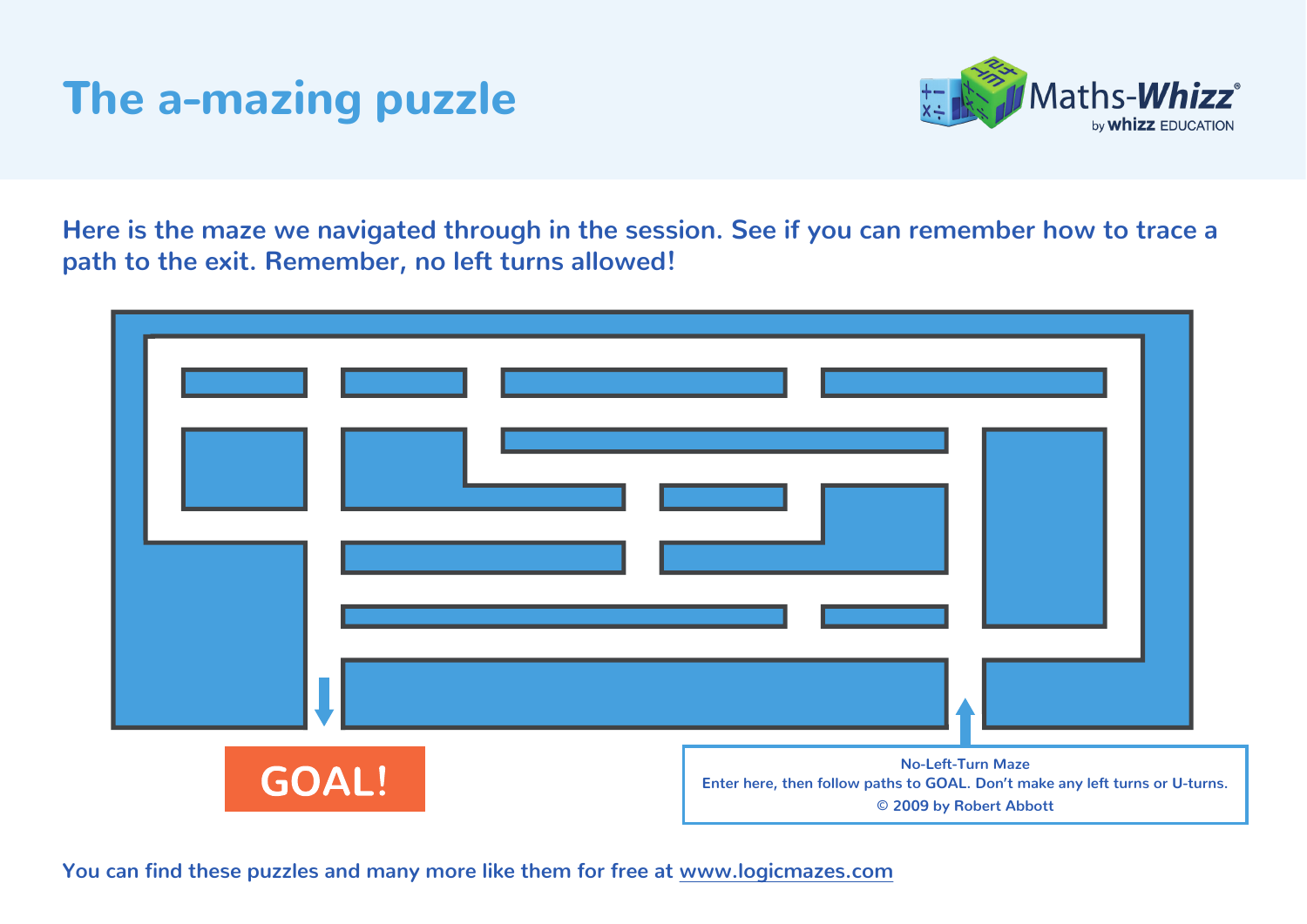### The a-mazing puzzle



**Here is the maze we navigated through in the session. See if you can remember how to trace a path to the exit. Remember, no left turns allowed!** 

| <b>GOAL!</b> | <b>No-Left-Turn Maze</b><br>Enter here, then follow paths to GOAL. Don't make any left turns or U-turns.<br>© 2009 by Robert Abbott |
|--------------|-------------------------------------------------------------------------------------------------------------------------------------|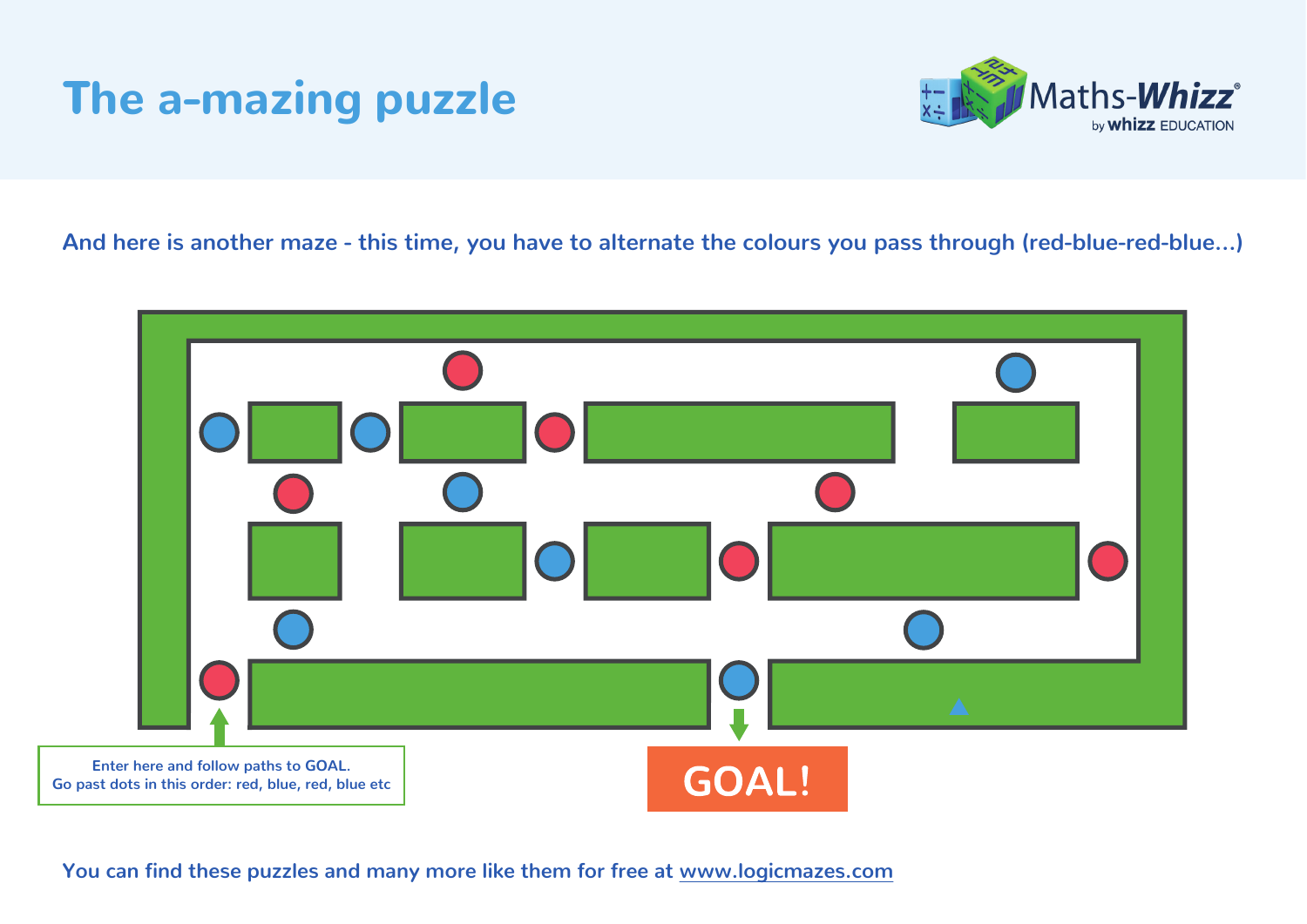### The a-mazing puzzle



**And here is another maze - this time, you have to alternate the colours you pass through (red-blue-red-blue…)**



**You can find these puzzles and many more like them for free at [www.logicmazes.com](http://www.logicmazes.com/)**